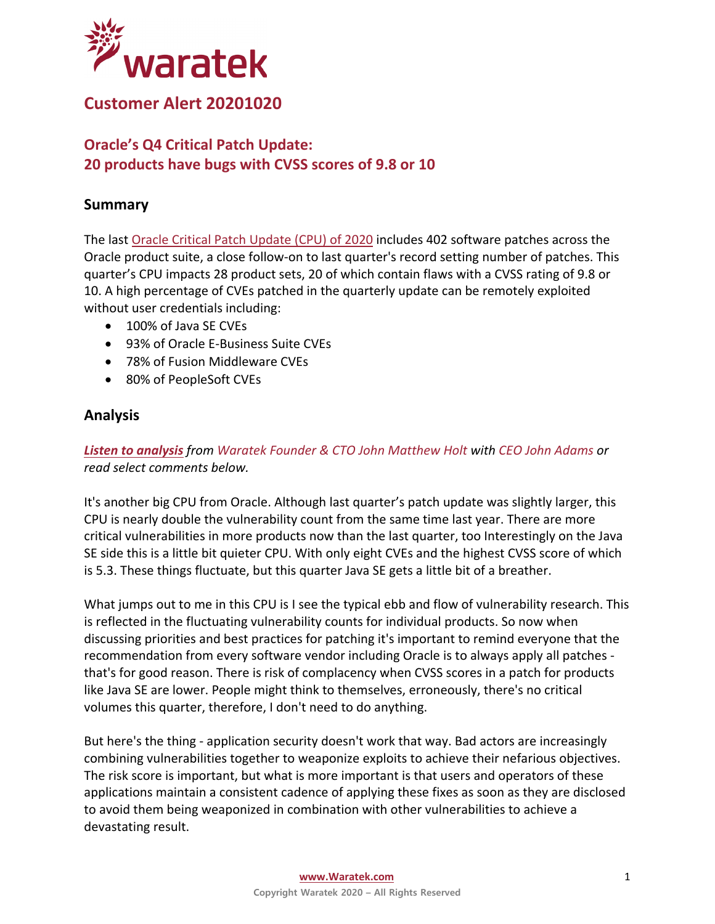

# **Customer Alert 20201020**

# **Oracle's Q4 Critical Patch Update: 20 products have bugs with CVSS scores of 9.8 or 10**

# **Summary**

The last [Oracle Critical Patch Update \(CPU\) of 2020](https://www.oracle.com/security-alerts/cpuoct2020.html) includes 402 software patches across the Oracle product suite, a close follow-on to last quarter's record setting number of patches. This quarter's CPU impacts 28 product sets, 20 of which contain flaws with a CVSS rating of 9.8 or 10. A high percentage of CVEs patched in the quarterly update can be remotely exploited without user credentials including:

- 100% of Java SE CVEs
- 93% of Oracle E-Business Suite CVEs
- 78% of Fusion Middleware CVEs
- 80% of PeopleSoft CVEs

# **Analysis**

### *[Listen to analysis](https://www.waratek.com/wp-content/uploads/2020/10/Q4-CPU-Master.mp3) from Waratek Founder & CTO John Matthew Holt with CEO John Adams or read select comments below.*

It's another big CPU from Oracle. Although last quarter's patch update was slightly larger, this CPU is nearly double the vulnerability count from the same time last year. There are more critical vulnerabilities in more products now than the last quarter, too Interestingly on the Java SE side this is a little bit quieter CPU. With only eight CVEs and the highest CVSS score of which is 5.3. These things fluctuate, but this quarter Java SE gets a little bit of a breather.

What jumps out to me in this CPU is I see the typical ebb and flow of vulnerability research. This is reflected in the fluctuating vulnerability counts for individual products. So now when discussing priorities and best practices for patching it's important to remind everyone that the recommendation from every software vendor including Oracle is to always apply all patches that's for good reason. There is risk of complacency when CVSS scores in a patch for products like Java SE are lower. People might think to themselves, erroneously, there's no critical volumes this quarter, therefore, I don't need to do anything.

But here's the thing - application security doesn't work that way. Bad actors are increasingly combining vulnerabilities together to weaponize exploits to achieve their nefarious objectives. The risk score is important, but what is more important is that users and operators of these applications maintain a consistent cadence of applying these fixes as soon as they are disclosed to avoid them being weaponized in combination with other vulnerabilities to achieve a devastating result.